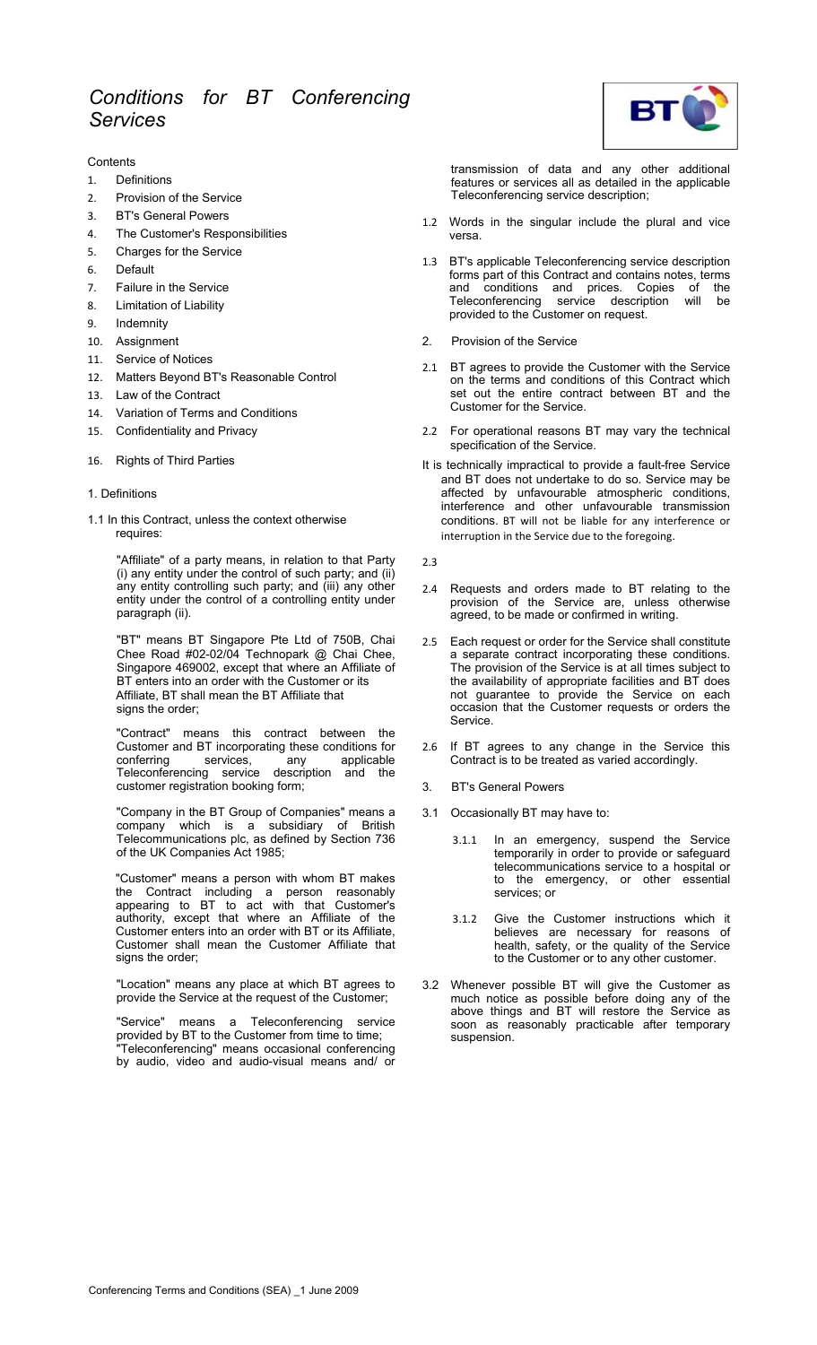### **Contents**

- 1. Definitions
- 2. Provision of the Service
- 3. BT's General Powers
- 4. The Customer's Responsibilities
- 5. Charges for the Service
- 6. Default
- 7. Failure in the Service
- 8. Limitation of Liability
- 9. Indemnity
- 10. Assignment
- 11. Service of Notices
- 12. Matters Beyond BT's Reasonable Control
- 13. Law of the Contract
- 14. Variation of Terms and Conditions
- 15. Confidentiality and Privacy

## 16. Rights of Third Parties

# 1. Definitions

1.1 In this Contract, unless the context otherwise requires:

> "Affiliate" of a party means, in relation to that Party (i) any entity under the control of such party; and (ii) any entity controlling such party; and (iii) any other entity under the control of a controlling entity under paragraph (ii).

> "BT" means BT Singapore Pte Ltd of 750B, Chai Chee Road #02-02/04 Technopark @ Chai Chee, Singapore 469002, except that where an Affiliate of BT enters into an order with the Customer or its Affiliate, BT shall mean the BT Affiliate that signs the order:

> "Contract" means this contract between the Customer and BT incorporating these conditions for conferring services, any applicable Teleconferencing service description and the customer registration booking form;

> "Company in the BT Group of Companies" means a company which is a subsidiary of British Telecommunications plc, as defined by Section 736 of the UK Companies Act 1985;

> "Customer" means a person with whom BT makes the Contract including a person reasonably appearing to BT to act with that Customer's authority, except that where an Affiliate of the Customer enters into an order with BT or its Affiliate, Customer shall mean the Customer Affiliate that signs the order;

> "Location" means any place at which BT agrees to provide the Service at the request of the Customer;

> "Service" means a Teleconferencing service provided by BT to the Customer from time to time; Teleconferencing" means occasional conferencing by audio, video and audio-visual means and/ or



transmission of data and any other additional features or services all as detailed in the applicable Teleconferencing service description;

- 1.2 Words in the singular include the plural and vice versa.
- 1.3 BT's applicable Teleconferencing service description forms part of this Contract and contains notes, terms and conditions and prices. Copies of the Teleconferencing service description will be provided to the Customer on request.
- 2. Provision of the Service
- 2.1 BT agrees to provide the Customer with the Service on the terms and conditions of this Contract which set out the entire contract between BT and the Customer for the Service.
- 2.2 For operational reasons BT may vary the technical specification of the Service.
- It is technically impractical to provide a fault-free Service and BT does not undertake to do so. Service may be affected by unfavourable atmospheric conditions, interference and other unfavourable transmission conditions. BT will not be liable for any interference or interruption in the Service due to the foregoing.
- 2.3
- 2.4 Requests and orders made to BT relating to the provision of the Service are, unless otherwise agreed, to be made or confirmed in writing.
- 2.5 Each request or order for the Service shall constitute a separate contract incorporating these conditions. The provision of the Service is at all times subject to the availability of appropriate facilities and BT does not guarantee to provide the Service on each occasion that the Customer requests or orders the Service.
- 2.6 If BT agrees to any change in the Service this Contract is to be treated as varied accordingly.
- 3. BT's General Powers
- 3.1 Occasionally BT may have to:
	- 3.1.1 In an emergency, suspend the Service temporarily in order to provide or safeguard telecommunications service to a hospital or to the emergency, or other essential services; or
	- 3.1.2 Give the Customer instructions which it believes are necessary for reasons of health, safety, or the quality of the Service to the Customer or to any other customer.
- 3.2 Whenever possible BT will give the Customer as much notice as possible before doing any of the above things and BT will restore the Service as soon as reasonably practicable after temporary suspension.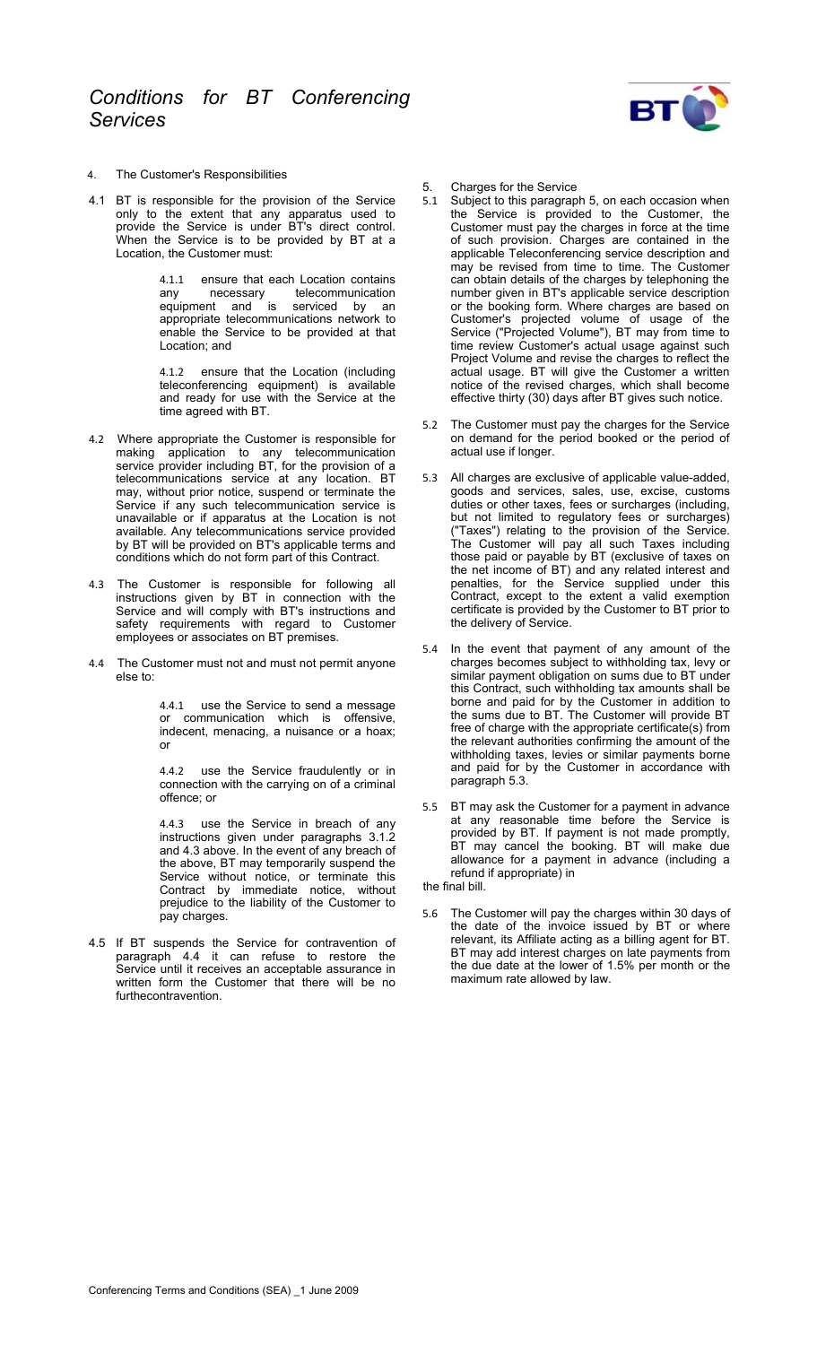

- 4. The Customer's Responsibilities
- 4.1 BT is responsible for the provision of the Service only to the extent that any apparatus used to provide the Service is under BT's direct control. When the Service is to be provided by BT at a Location, the Customer must:

4.1.1 ensure that each Location contains<br>any enecessary telecommunication any necessary telecommunication equipment and is serviced by an appropriate telecommunications network to enable the Service to be provided at that Location; and

4.1.2 ensure that the Location (including teleconferencing equipment) is available and ready for use with the Service at the time agreed with BT.

- 4.2 Where appropriate the Customer is responsible for making application to any telecommunication service provider including BT, for the provision of a telecommunications service at any location. BT may, without prior notice, suspend or terminate the Service if any such telecommunication service is unavailable or if apparatus at the Location is not available. Any telecommunications service provided by BT will be provided on BT's applicable terms and conditions which do not form part of this Contract.
- 4.3 The Customer is responsible for following all instructions given by BT in connection with the Service and will comply with BT's instructions and safety requirements with regard to Customer employees or associates on BT premises.
- 4.4 The Customer must not and must not permit anyone else to:

4.4.1 use the Service to send a message or communication which is offensive, indecent, menacing, a nuisance or a hoax; or

4.4.2 use the Service fraudulently or in connection with the carrying on of a criminal offence; or

use the Service in breach of any instructions given under paragraphs 3.1.2 and 4.3 above. In the event of any breach of the above, BT may temporarily suspend the Service without notice, or terminate this Contract by immediate notice, without prejudice to the liability of the Customer to pay charges.

4.5 If BT suspends the Service for contravention of paragraph 4.4 it can refuse to restore the Service until it receives an acceptable assurance in written form the Customer that there will be no furthecontravention.

- 5. Charges for the Service<br>5.1 Subiect to this paragrap
- 5.1 Subject to this paragraph 5, on each occasion when the Service is provided to the Customer, the Customer must pay the charges in force at the time of such provision. Charges are contained in the applicable Teleconferencing service description and may be revised from time to time. The Customer can obtain details of the charges by telephoning the number given in BT's applicable service description or the booking form. Where charges are based on Customer's projected volume of usage of the Service ("Projected Volume"), BT may from time to time review Customer's actual usage against such Project Volume and revise the charges to reflect the actual usage. BT will give the Customer a written notice of the revised charges, which shall become effective thirty (30) days after BT gives such notice.
- 5.2 The Customer must pay the charges for the Service on demand for the period booked or the period of actual use if longer.
- 5.3 All charges are exclusive of applicable value-added, goods and services, sales, use, excise, customs duties or other taxes, fees or surcharges (including, but not limited to regulatory fees or surcharges) ("Taxes") relating to the provision of the Service. The Customer will pay all such Taxes including those paid or payable by BT (exclusive of taxes on the net income of BT) and any related interest and penalties, for the Service supplied under this Contract, except to the extent a valid exemption certificate is provided by the Customer to BT prior to the delivery of Service.
- 5.4 In the event that payment of any amount of the charges becomes subject to withholding tax, levy or similar payment obligation on sums due to BT under this Contract, such withholding tax amounts shall be borne and paid for by the Customer in addition to the sums due to BT. The Customer will provide BT free of charge with the appropriate certificate(s) from the relevant authorities confirming the amount of the withholding taxes, levies or similar payments borne and paid for by the Customer in accordance with paragraph 5.3.
- 5.5 BT may ask the Customer for a payment in advance at any reasonable time before the Service is provided by BT. If payment is not made promptly, BT may cancel the booking. BT will make due allowance for a payment in advance (including a refund if appropriate) in

the final bill.

5.6 The Customer will pay the charges within 30 days of the date of the invoice issued by BT or where relevant, its Affiliate acting as a billing agent for BT. BT may add interest charges on late payments from the due date at the lower of 1.5% per month or the maximum rate allowed by law.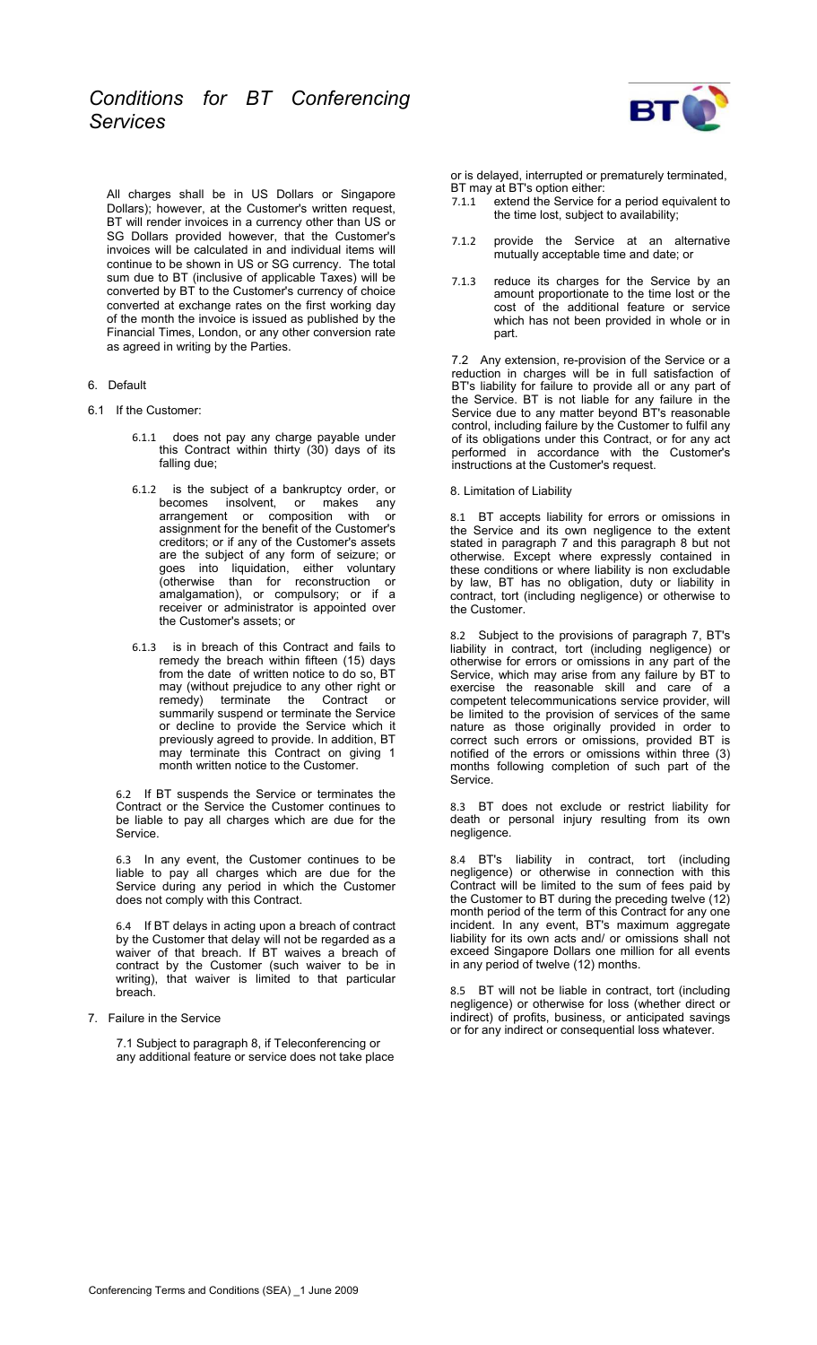All charges shall be in US Dollars or Singapore Dollars); however, at the Customer's written request, BT will render invoices in a currency other than US or SG Dollars provided however, that the Customer's invoices will be calculated in and individual items will continue to be shown in US or SG currency. The total sum due to BT (inclusive of applicable Taxes) will be converted by BT to the Customer's currency of choice converted at exchange rates on the first working day of the month the invoice is issued as published by the Financial Times, London, or any other conversion rate as agreed in writing by the Parties.

- 6. Default
- 6.1 If the Customer:
	- 6.1.1 does not pay any charge payable under this Contract within thirty (30) days of its falling due;
	- 6.1.2 is the subject of a bankruptcy order, or<br>becomes insolvent, or makes any becomes insolvent, or arrangement or composition with or assignment for the benefit of the Customer's creditors; or if any of the Customer's assets are the subject of any form of seizure; or goes into liquidation, either voluntary (otherwise than for reconstruction or amalgamation), or compulsory; or if a receiver or administrator is appointed over the Customer's assets; or
	- 6.1.3 is in breach of this Contract and fails to remedy the breach within fifteen (15) days from the date of written notice to do so, BT may (without prejudice to any other right or remedy) terminate the Contract or summarily suspend or terminate the Service or decline to provide the Service which it previously agreed to provide. In addition, BT may terminate this Contract on giving 1 month written notice to the Customer.

6.2 If BT suspends the Service or terminates the Contract or the Service the Customer continues to be liable to pay all charges which are due for the Service.

6.3 In any event, the Customer continues to be liable to pay all charges which are due for the Service during any period in which the Customer does not comply with this Contract.

6.4 If BT delays in acting upon a breach of contract by the Customer that delay will not be regarded as a waiver of that breach. If BT waives a breach of contract by the Customer (such waiver to be in writing), that waiver is limited to that particular breach.

7. Failure in the Service

7.1 Subject to paragraph 8, if Teleconferencing or any additional feature or service does not take place



or is delayed, interrupted or prematurely terminated, BT may at BT's option either:

- 7.1.1 extend the Service for a period equivalent to the time lost, subject to availability;
- 7.1.2 provide the Service at an alternative mutually acceptable time and date; or
- 7.1.3 reduce its charges for the Service by an amount proportionate to the time lost or the cost of the additional feature or service which has not been provided in whole or in part.

7.2 Any extension, re-provision of the Service or a reduction in charges will be in full satisfaction of BT's liability for failure to provide all or any part of the Service. BT is not liable for any failure in the Service due to any matter beyond BT's reasonable control, including failure by the Customer to fulfil any of its obligations under this Contract, or for any act performed in accordance with the Customer's instructions at the Customer's request.

# 8. Limitation of Liability

8.1 BT accepts liability for errors or omissions in the Service and its own negligence to the extent stated in paragraph 7 and this paragraph 8 but not otherwise. Except where expressly contained in these conditions or where liability is non excludable by law, BT has no obligation, duty or liability in contract, tort (including negligence) or otherwise to the Customer.

8.2 Subject to the provisions of paragraph 7, BT's liability in contract, tort (including negligence) or otherwise for errors or omissions in any part of the Service, which may arise from any failure by BT to exercise the reasonable skill and care of a competent telecommunications service provider, will be limited to the provision of services of the same nature as those originally provided in order to correct such errors or omissions, provided BT is notified of the errors or omissions within three (3) months following completion of such part of the Service.

8.3 BT does not exclude or restrict liability for death or personal injury resulting from its own negligence.

8.4 BT's liability in contract, tort (including negligence) or otherwise in connection with this Contract will be limited to the sum of fees paid by the Customer to BT during the preceding twelve (12) month period of the term of this Contract for any one incident. In any event, BT's maximum aggregate liability for its own acts and/ or omissions shall not exceed Singapore Dollars one million for all events in any period of twelve (12) months.

8.5 BT will not be liable in contract, tort (including negligence) or otherwise for loss (whether direct or indirect) of profits, business, or anticipated savings or for any indirect or consequential loss whatever.